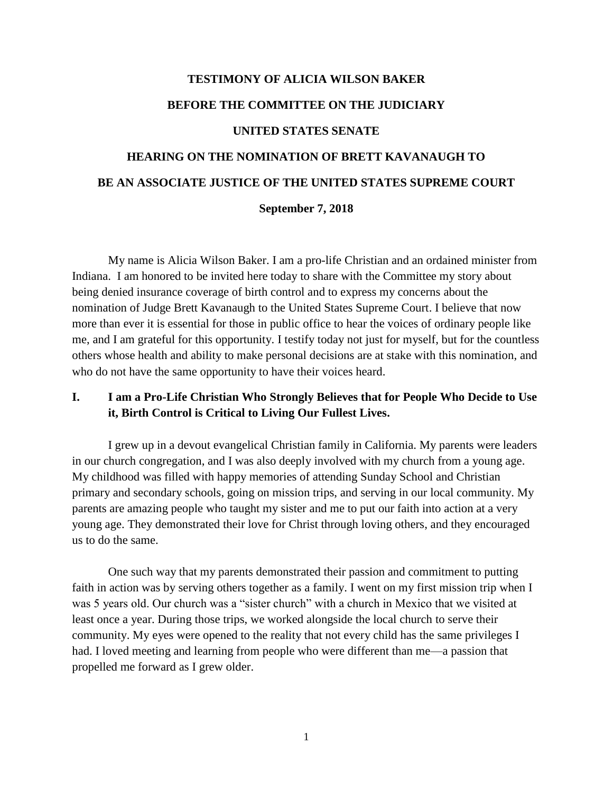# **TESTIMONY OF ALICIA WILSON BAKER BEFORE THE COMMITTEE ON THE JUDICIARY UNITED STATES SENATE HEARING ON THE NOMINATION OF BRETT KAVANAUGH TO BE AN ASSOCIATE JUSTICE OF THE UNITED STATES SUPREME COURT**

#### **September 7, 2018**

My name is Alicia Wilson Baker. I am a pro-life Christian and an ordained minister from Indiana. I am honored to be invited here today to share with the Committee my story about being denied insurance coverage of birth control and to express my concerns about the nomination of Judge Brett Kavanaugh to the United States Supreme Court. I believe that now more than ever it is essential for those in public office to hear the voices of ordinary people like me, and I am grateful for this opportunity. I testify today not just for myself, but for the countless others whose health and ability to make personal decisions are at stake with this nomination, and who do not have the same opportunity to have their voices heard.

## **I. I am a Pro-Life Christian Who Strongly Believes that for People Who Decide to Use it, Birth Control is Critical to Living Our Fullest Lives.**

I grew up in a devout evangelical Christian family in California. My parents were leaders in our church congregation, and I was also deeply involved with my church from a young age. My childhood was filled with happy memories of attending Sunday School and Christian primary and secondary schools, going on mission trips, and serving in our local community. My parents are amazing people who taught my sister and me to put our faith into action at a very young age. They demonstrated their love for Christ through loving others, and they encouraged us to do the same.

One such way that my parents demonstrated their passion and commitment to putting faith in action was by serving others together as a family. I went on my first mission trip when I was 5 years old. Our church was a "sister church" with a church in Mexico that we visited at least once a year. During those trips, we worked alongside the local church to serve their community. My eyes were opened to the reality that not every child has the same privileges I had. I loved meeting and learning from people who were different than me—a passion that propelled me forward as I grew older.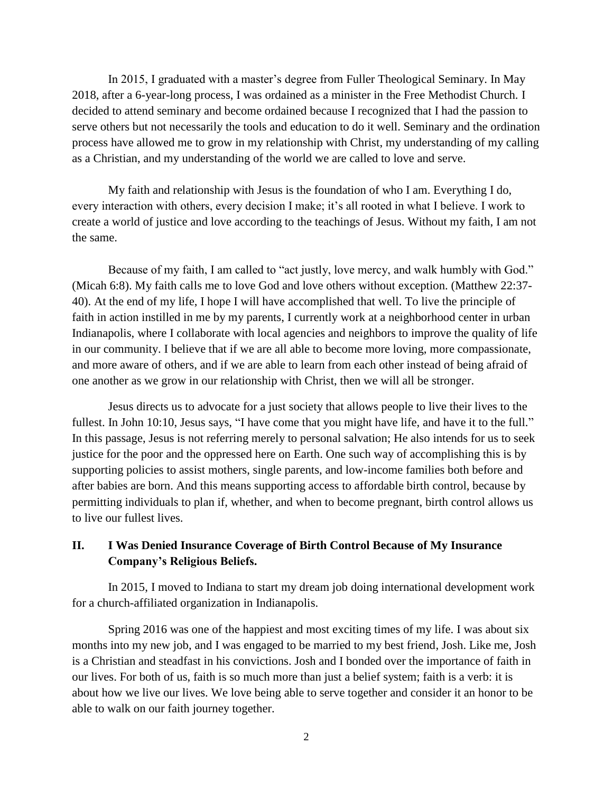In 2015, I graduated with a master's degree from Fuller Theological Seminary. In May 2018, after a 6-year-long process, I was ordained as a minister in the Free Methodist Church. I decided to attend seminary and become ordained because I recognized that I had the passion to serve others but not necessarily the tools and education to do it well. Seminary and the ordination process have allowed me to grow in my relationship with Christ, my understanding of my calling as a Christian, and my understanding of the world we are called to love and serve.

My faith and relationship with Jesus is the foundation of who I am. Everything I do, every interaction with others, every decision I make; it's all rooted in what I believe. I work to create a world of justice and love according to the teachings of Jesus. Without my faith, I am not the same.

Because of my faith, I am called to "act justly, love mercy, and walk humbly with God." (Micah 6:8). My faith calls me to love God and love others without exception. (Matthew 22:37- 40). At the end of my life, I hope I will have accomplished that well. To live the principle of faith in action instilled in me by my parents, I currently work at a neighborhood center in urban Indianapolis, where I collaborate with local agencies and neighbors to improve the quality of life in our community. I believe that if we are all able to become more loving, more compassionate, and more aware of others, and if we are able to learn from each other instead of being afraid of one another as we grow in our relationship with Christ, then we will all be stronger.

Jesus directs us to advocate for a just society that allows people to live their lives to the fullest. In John 10:10, Jesus says, "I have come that you might have life, and have it to the full." In this passage, Jesus is not referring merely to personal salvation; He also intends for us to seek justice for the poor and the oppressed here on Earth. One such way of accomplishing this is by supporting policies to assist mothers, single parents, and low-income families both before and after babies are born. And this means supporting access to affordable birth control, because by permitting individuals to plan if, whether, and when to become pregnant, birth control allows us to live our fullest lives.

#### **II. I Was Denied Insurance Coverage of Birth Control Because of My Insurance Company's Religious Beliefs.**

In 2015, I moved to Indiana to start my dream job doing international development work for a church-affiliated organization in Indianapolis.

Spring 2016 was one of the happiest and most exciting times of my life. I was about six months into my new job, and I was engaged to be married to my best friend, Josh. Like me, Josh is a Christian and steadfast in his convictions. Josh and I bonded over the importance of faith in our lives. For both of us, faith is so much more than just a belief system; faith is a verb: it is about how we live our lives. We love being able to serve together and consider it an honor to be able to walk on our faith journey together.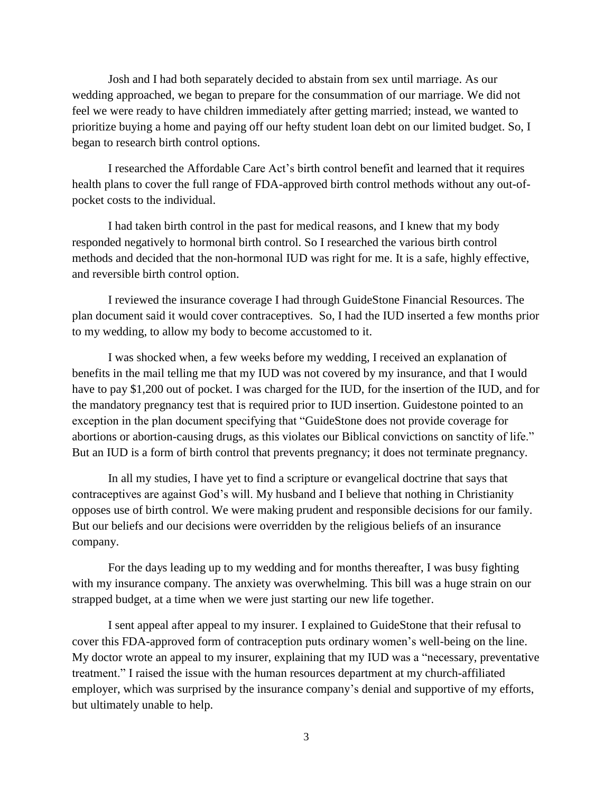Josh and I had both separately decided to abstain from sex until marriage. As our wedding approached, we began to prepare for the consummation of our marriage. We did not feel we were ready to have children immediately after getting married; instead, we wanted to prioritize buying a home and paying off our hefty student loan debt on our limited budget. So, I began to research birth control options.

I researched the Affordable Care Act's birth control benefit and learned that it requires health plans to cover the full range of FDA-approved birth control methods without any out-ofpocket costs to the individual.

I had taken birth control in the past for medical reasons, and I knew that my body responded negatively to hormonal birth control. So I researched the various birth control methods and decided that the non-hormonal IUD was right for me. It is a safe, highly effective, and reversible birth control option.

I reviewed the insurance coverage I had through GuideStone Financial Resources. The plan document said it would cover contraceptives. So, I had the IUD inserted a few months prior to my wedding, to allow my body to become accustomed to it.

I was shocked when, a few weeks before my wedding, I received an explanation of benefits in the mail telling me that my IUD was not covered by my insurance, and that I would have to pay \$1,200 out of pocket. I was charged for the IUD, for the insertion of the IUD, and for the mandatory pregnancy test that is required prior to IUD insertion. Guidestone pointed to an exception in the plan document specifying that "GuideStone does not provide coverage for abortions or abortion-causing drugs, as this violates our Biblical convictions on sanctity of life." But an IUD is a form of birth control that prevents pregnancy; it does not terminate pregnancy.

In all my studies, I have yet to find a scripture or evangelical doctrine that says that contraceptives are against God's will. My husband and I believe that nothing in Christianity opposes use of birth control. We were making prudent and responsible decisions for our family. But our beliefs and our decisions were overridden by the religious beliefs of an insurance company.

For the days leading up to my wedding and for months thereafter, I was busy fighting with my insurance company. The anxiety was overwhelming. This bill was a huge strain on our strapped budget, at a time when we were just starting our new life together.

I sent appeal after appeal to my insurer. I explained to GuideStone that their refusal to cover this FDA-approved form of contraception puts ordinary women's well-being on the line. My doctor wrote an appeal to my insurer, explaining that my IUD was a "necessary, preventative treatment." I raised the issue with the human resources department at my church-affiliated employer, which was surprised by the insurance company's denial and supportive of my efforts, but ultimately unable to help.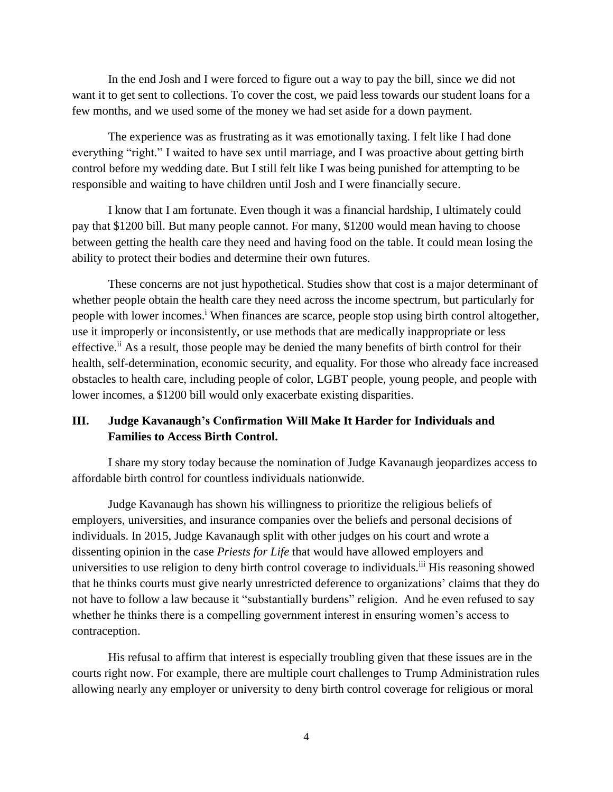In the end Josh and I were forced to figure out a way to pay the bill, since we did not want it to get sent to collections. To cover the cost, we paid less towards our student loans for a few months, and we used some of the money we had set aside for a down payment.

The experience was as frustrating as it was emotionally taxing. I felt like I had done everything "right." I waited to have sex until marriage, and I was proactive about getting birth control before my wedding date. But I still felt like I was being punished for attempting to be responsible and waiting to have children until Josh and I were financially secure.

I know that I am fortunate. Even though it was a financial hardship, I ultimately could pay that \$1200 bill. But many people cannot. For many, \$1200 would mean having to choose between getting the health care they need and having food on the table. It could mean losing the ability to protect their bodies and determine their own futures.

These concerns are not just hypothetical. Studies show that cost is a major determinant of whether people obtain the health care they need across the income spectrum, but particularly for people with lower incomes.<sup>i</sup> When finances are scarce, people stop using birth control altogether, use it improperly or inconsistently, or use methods that are medically inappropriate or less effective.<sup>ii</sup> As a result, those people may be denied the many benefits of birth control for their health, self-determination, economic security, and equality. For those who already face increased obstacles to health care, including people of color, LGBT people, young people, and people with lower incomes, a \$1200 bill would only exacerbate existing disparities.

## **III. Judge Kavanaugh's Confirmation Will Make It Harder for Individuals and Families to Access Birth Control.**

I share my story today because the nomination of Judge Kavanaugh jeopardizes access to affordable birth control for countless individuals nationwide.

Judge Kavanaugh has shown his willingness to prioritize the religious beliefs of employers, universities, and insurance companies over the beliefs and personal decisions of individuals. In 2015, Judge Kavanaugh split with other judges on his court and wrote a dissenting opinion in the case *Priests for Life* that would have allowed employers and universities to use religion to deny birth control coverage to individuals.<sup>iii</sup> His reasoning showed that he thinks courts must give nearly unrestricted deference to organizations' claims that they do not have to follow a law because it "substantially burdens" religion. And he even refused to say whether he thinks there is a compelling government interest in ensuring women's access to contraception.

His refusal to affirm that interest is especially troubling given that these issues are in the courts right now. For example, there are multiple court challenges to Trump Administration rules allowing nearly any employer or university to deny birth control coverage for religious or moral